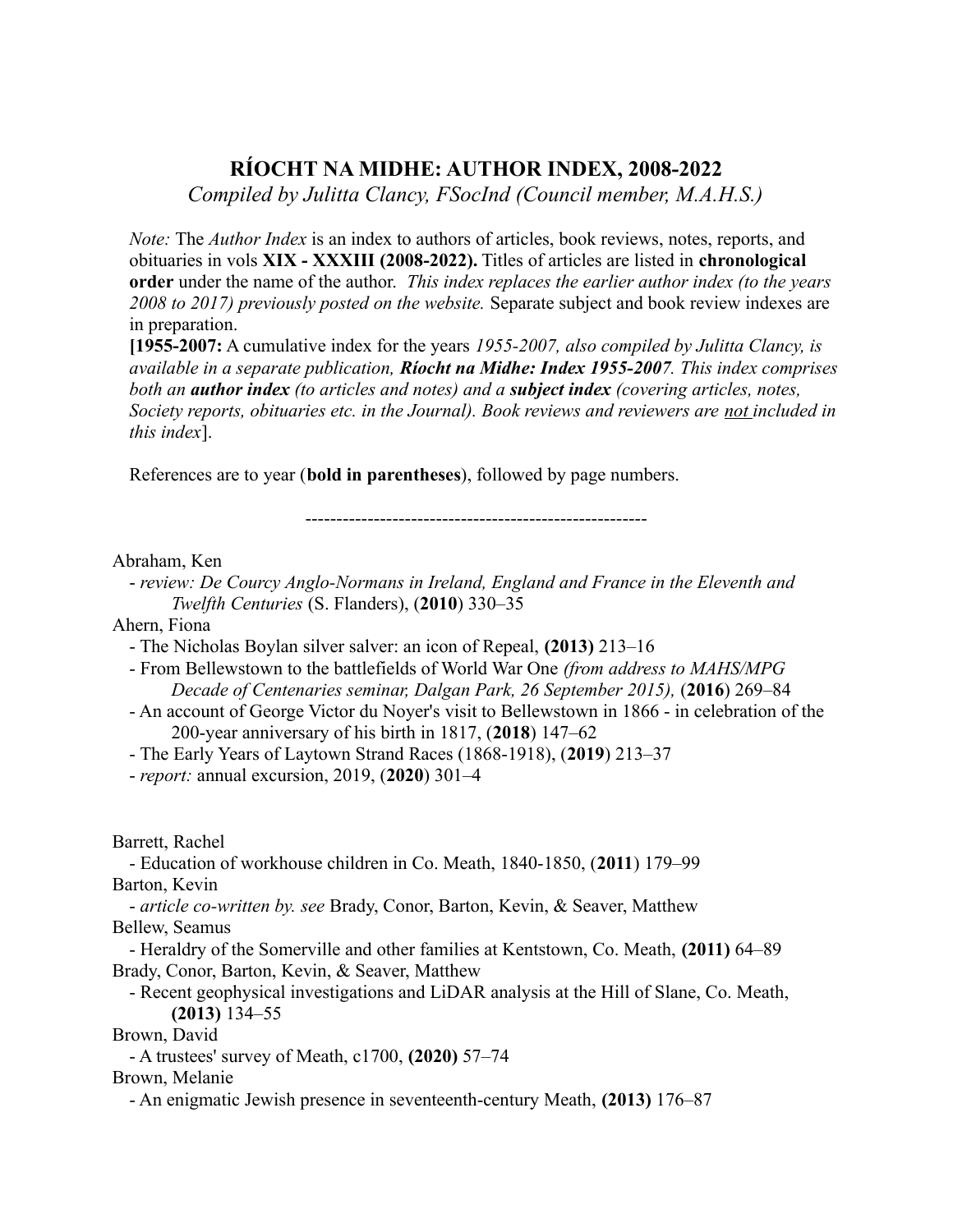# **RÍOCHT NA MIDHE: AUTHOR INDEX, 2008-2022**

*Compiled by Julitta Clancy, FSocInd (Council member, M.A.H.S.)*

*Note:* The *Author Index* is an index to authors of articles, book reviews, notes, reports, and obituaries in vols **XIX - XXXIII (2008-2022).** Titles of articles are listed in **chronological order** under the name of the author. *This index replaces the earlier author index (to the years 2008 to 2017) previously posted on the website.* Separate subject and book review indexes are in preparation.

**[1955-2007:** A cumulative index for the years *1955-2007, also compiled by Julitta Clancy, is available in a separate publication, Ríocht na Midhe: Index 1955-2007. This index comprises both an author index (to articles and notes) and a subject index (covering articles, notes, Society reports, obituaries etc. in the Journal). Book reviews and reviewers are not included in this index*].

References are to year (**bold in parentheses**), followed by page numbers.

-------------------------------------------------------

Abraham, Ken

- *review: De Courcy Anglo-Normans in Ireland, England and France in the Eleventh and Twelfth Centuries* (S. Flanders), (**2010**) 330–35

Ahern, Fiona

- The Nicholas Boylan silver salver: an icon of Repeal, **(2013)** 213–16
- From Bellewstown to the battlefields of World War One *(from address to MAHS/MPG Decade of Centenaries seminar, Dalgan Park, 26 September 2015),* (**2016**) 269–84
- An account of George Victor du Noyer's visit to Bellewstown in 1866 in celebration of the 200-year anniversary of his birth in 1817, (**2018**) 147–62
- The Early Years of Laytown Strand Races (1868-1918), (**2019**) 213–37
- *report:* annual excursion, 2019, (**2020**) 301–4

Barrett, Rachel

- Education of workhouse children in Co. Meath, 1840-1850, (**2011**) 179–99 Barton, Kevin

- *article co-written by. see* Brady, Conor, Barton, Kevin, & Seaver, Matthew Bellew, Seamus

- Heraldry of the Somerville and other families at Kentstown, Co. Meath, **(2011)** 64–89 Brady, Conor, Barton, Kevin, & Seaver, Matthew

- Recent geophysical investigations and LiDAR analysis at the Hill of Slane, Co. Meath, **(2013)** 134–55

Brown, David

- A trustees' survey of Meath, c1700, **(2020)** 57–74

Brown, Melanie

- An enigmatic Jewish presence in seventeenth-century Meath, **(2013)** 176–87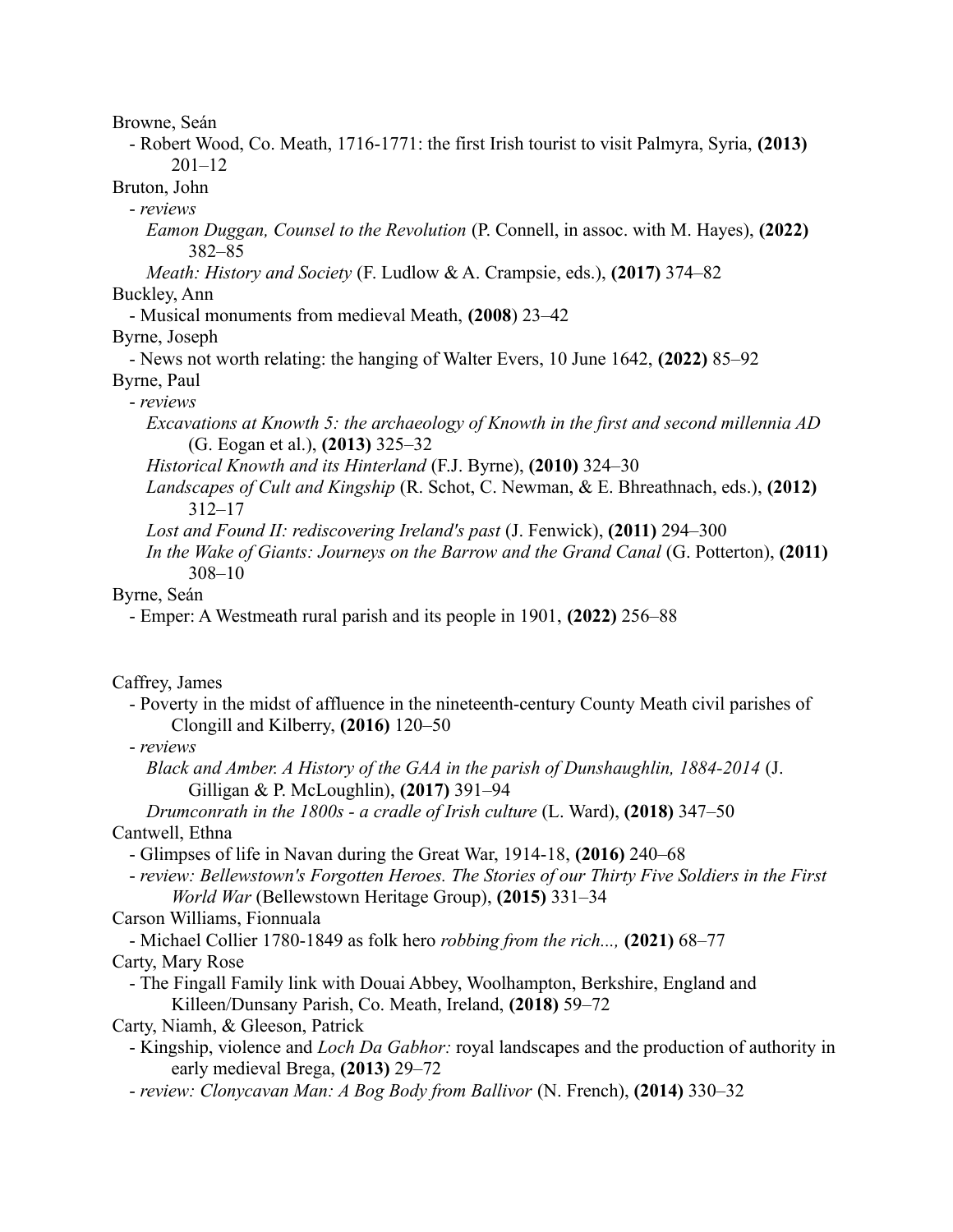Browne, Seán

- Robert Wood, Co. Meath, 1716-1771: the first Irish tourist to visit Palmyra, Syria, **(2013)** 201–12

Bruton, John

- *reviews*

*Eamon Duggan, Counsel to the Revolution* (P. Connell, in assoc. with M. Hayes), **(2022)** 382–85

*Meath: History and Society* (F. Ludlow & A. Crampsie, eds.), **(2017)** 374–82 Buckley, Ann

- Musical monuments from medieval Meath, **(2008**) 23–42

Byrne, Joseph

- News not worth relating: the hanging of Walter Evers, 10 June 1642, **(2022)** 85–92 Byrne, Paul

- *reviews*

*Excavations at Knowth 5: the archaeology of Knowth in the first and second millennia AD* (G. Eogan et al.), **(2013)** 325–32

*Historical Knowth and its Hinterland* (F.J. Byrne), **(2010)** 324–30

*Landscapes of Cult and Kingship* (R. Schot, C. Newman, & E. Bhreathnach, eds.), **(2012)** 312–17

*Lost and Found II: rediscovering Ireland's past* (J. Fenwick), **(2011)** 294–300

*In the Wake of Giants: Journeys on the Barrow and the Grand Canal* (G. Potterton), **(2011)** 308–10

Byrne, Seán

- Emper: A Westmeath rural parish and its people in 1901, **(2022)** 256–88

Caffrey, James

- Poverty in the midst of affluence in the nineteenth-century County Meath civil parishes of Clongill and Kilberry, **(2016)** 120–50

- *reviews*

*Black and Amber. A History of the GAA in the parish of Dunshaughlin, 1884-2014* (J. Gilligan & P. McLoughlin), **(2017)** 391–94

*Drumconrath in the 1800s - a cradle of Irish culture* (L. Ward), **(2018)** 347–50 Cantwell, Ethna

- Glimpses of life in Navan during the Great War, 1914-18, **(2016)** 240–68

- *review: Bellewstown's Forgotten Heroes. The Stories of our Thirty Five Soldiers in the First World War* (Bellewstown Heritage Group), **(2015)** 331–34

Carson Williams, Fionnuala

- Michael Collier 1780-1849 as folk hero *robbing from the rich...,* **(2021)** 68–77 Carty, Mary Rose

- The Fingall Family link with Douai Abbey, Woolhampton, Berkshire, England and Killeen/Dunsany Parish, Co. Meath, Ireland, **(2018)** 59–72

Carty, Niamh, & Gleeson, Patrick

- Kingship, violence and *Loch Da Gabhor:* royal landscapes and the production of authority in early medieval Brega, **(2013)** 29–72

- *review: Clonycavan Man: A Bog Body from Ballivor* (N. French), **(2014)** 330–32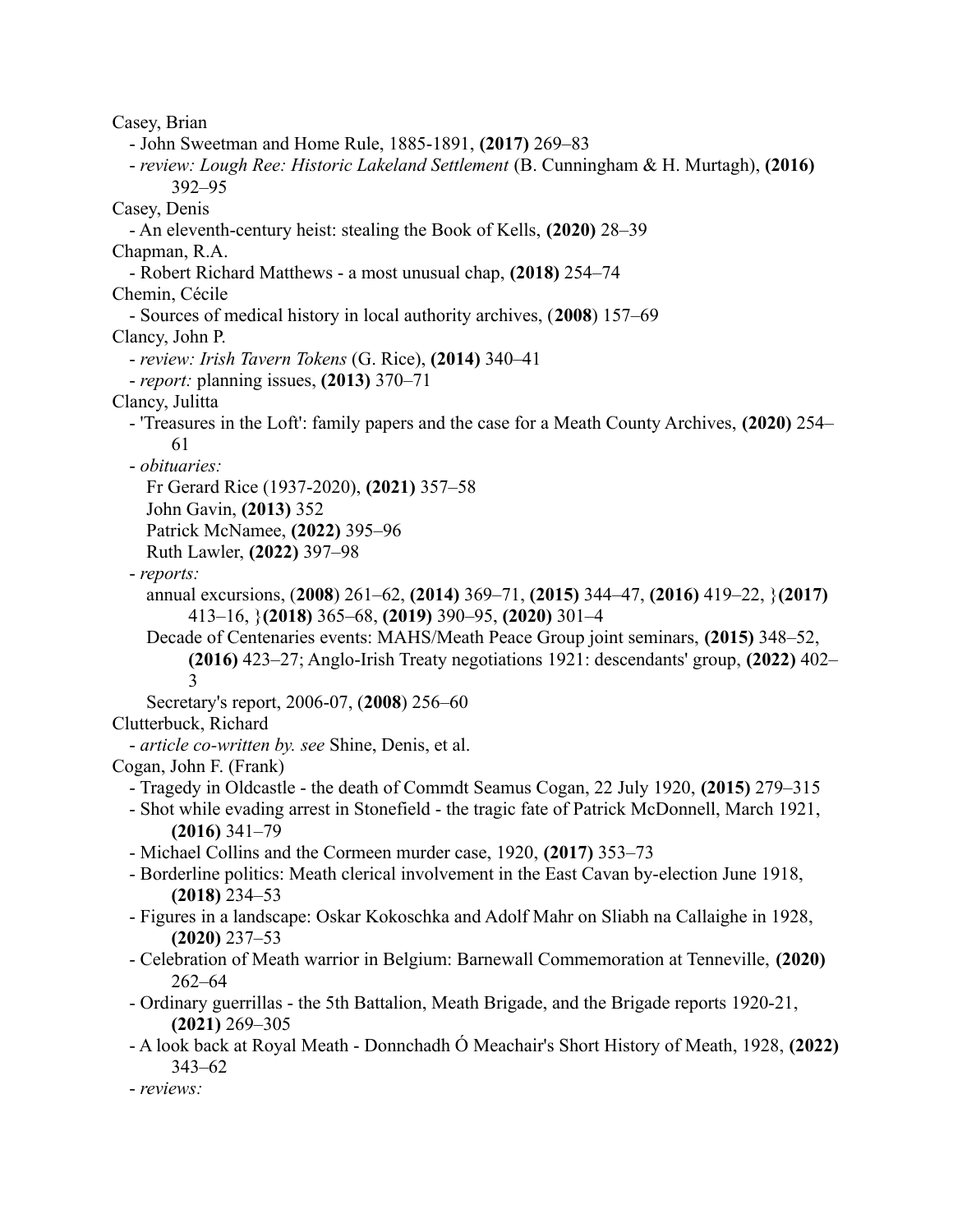Casey, Brian - John Sweetman and Home Rule, 1885-1891, **(2017)** 269–83 - *review: Lough Ree: Historic Lakeland Settlement* (B. Cunningham & H. Murtagh), **(2016)** 392–95 Casey, Denis - An eleventh-century heist: stealing the Book of Kells, **(2020)** 28–39 Chapman, R.A. - Robert Richard Matthews - a most unusual chap, **(2018)** 254–74 Chemin, Cécile - Sources of medical history in local authority archives, (**2008**) 157–69 Clancy, John P. - *review: Irish Tavern Tokens* (G. Rice), **(2014)** 340–41 - *report:* planning issues, **(2013)** 370–71 Clancy, Julitta - 'Treasures in the Loft': family papers and the case for a Meath County Archives, **(2020)** 254– 61 - *obituaries:* Fr Gerard Rice (1937-2020), **(2021)** 357–58 John Gavin, **(2013)** 352 Patrick McNamee, **(2022)** 395–96 Ruth Lawler, **(2022)** 397–98 - *reports:* annual excursions, (**2008**) 261–62, **(2014)** 369–71, **(2015)** 344–47, **(2016)** 419–22, }**(2017)** 413–16, }**(2018)** 365–68, **(2019)** 390–95, **(2020)** 301–4 Decade of Centenaries events: MAHS/Meath Peace Group joint seminars, **(2015)** 348–52, **(2016)** 423–27; Anglo-Irish Treaty negotiations 1921: descendants' group, **(2022)** 402– 3 Secretary's report, 2006-07, (**2008**) 256–60 Clutterbuck, Richard - *article co-written by. see* Shine, Denis, et al. Cogan, John F. (Frank) - Tragedy in Oldcastle - the death of Commdt Seamus Cogan, 22 July 1920, **(2015)** 279–315 - Shot while evading arrest in Stonefield - the tragic fate of Patrick McDonnell, March 1921, **(2016)** 341–79 - Michael Collins and the Cormeen murder case, 1920, **(2017)** 353–73 - Borderline politics: Meath clerical involvement in the East Cavan by-election June 1918, **(2018)** 234–53 - Figures in a landscape: Oskar Kokoschka and Adolf Mahr on Sliabh na Callaighe in 1928, **(2020)** 237–53 - Celebration of Meath warrior in Belgium: Barnewall Commemoration at Tenneville, **(2020)** 262–64 - Ordinary guerrillas - the 5th Battalion, Meath Brigade, and the Brigade reports 1920-21, **(2021)** 269–305 - A look back at Royal Meath - Donnchadh Ó Meachair's Short History of Meath, 1928, **(2022)** 343–62 - *reviews:*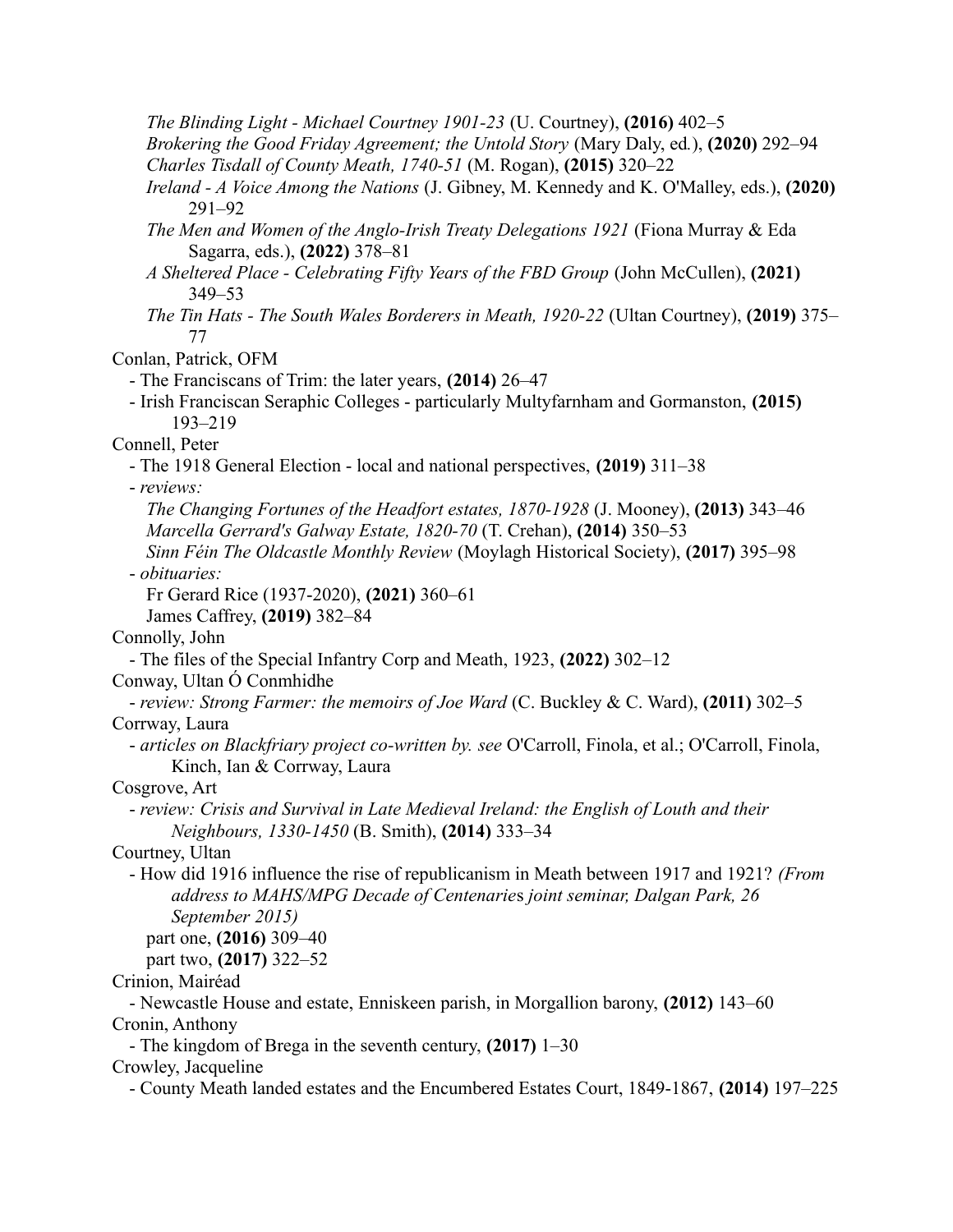*The Blinding Light - Michael Courtney 1901-23* (U. Courtney), **(2016)** 402–5

*Brokering the Good Friday Agreement; the Untold Story* (Mary Daly, ed*.*), **(2020)** 292–94 *Charles Tisdall of County Meath, 1740-51* (M. Rogan), **(2015)** 320–22

- *Ireland A Voice Among the Nations* (J. Gibney, M. Kennedy and K. O'Malley, eds.), **(2020)** 291–92
- *The Men and Women of the Anglo-Irish Treaty Delegations 1921* (Fiona Murray & Eda Sagarra, eds.), **(2022)** 378–81
- *A Sheltered Place Celebrating Fifty Years of the FBD Group* (John McCullen), **(2021)** 349–53
- *The Tin Hats The South Wales Borderers in Meath, 1920-22* (Ultan Courtney), **(2019)** 375– 77

Conlan, Patrick, OFM

- The Franciscans of Trim: the later years, **(2014)** 26–47
- Irish Franciscan Seraphic Colleges particularly Multyfarnham and Gormanston, **(2015)** 193–219

Connell, Peter

- The 1918 General Election - local and national perspectives, **(2019)** 311–38

- *reviews:*

*The Changing Fortunes of the Headfort estates, 1870-1928* (J. Mooney), **(2013)** 343–46 *Marcella Gerrard's Galway Estate, 1820-70* (T. Crehan), **(2014)** 350–53

*Sinn Féin The Oldcastle Monthly Review* (Moylagh Historical Society), **(2017)** 395–98 - *obituaries:*

Fr Gerard Rice (1937-2020), **(2021)** 360–61

James Caffrey, **(2019)** 382–84

Connolly, John

- The files of the Special Infantry Corp and Meath, 1923, **(2022)** 302–12

Conway, Ultan Ó Conmhidhe

- *review: Strong Farmer: the memoirs of Joe Ward* (C. Buckley & C. Ward), **(2011)** 302–5 Corrway, Laura

- *articles on Blackfriary project co-written by. see* O'Carroll, Finola, et al.; O'Carroll, Finola, Kinch, Ian & Corrway, Laura

Cosgrove, Art

- *review: Crisis and Survival in Late Medieval Ireland: the English of Louth and their Neighbours, 1330-1450* (B. Smith), **(2014)** 333–34

Courtney, Ultan

- How did 1916 influence the rise of republicanism in Meath between 1917 and 1921? *(From address to MAHS/MPG Decade of Centenarie*s *joint seminar, Dalgan Park, 26 September 2015)*

part one, **(2016)** 309–40

part two, **(2017)** 322–52

Crinion, Mairéad

- Newcastle House and estate, Enniskeen parish, in Morgallion barony, **(2012)** 143–60 Cronin, Anthony

- The kingdom of Brega in the seventh century, **(2017)** 1–30

Crowley, Jacqueline

- County Meath landed estates and the Encumbered Estates Court, 1849-1867, **(2014)** 197–225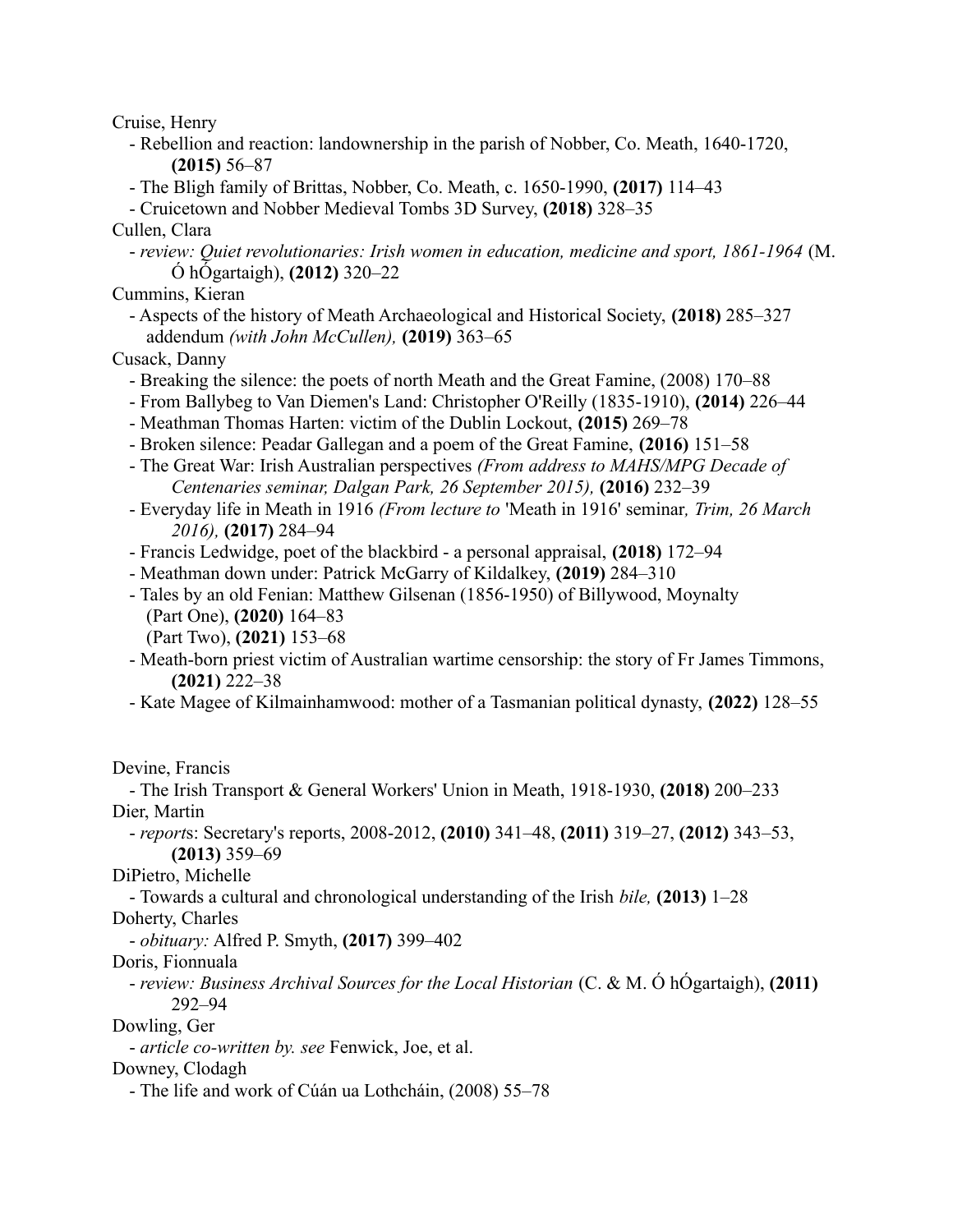Cruise, Henry

- Rebellion and reaction: landownership in the parish of Nobber, Co. Meath, 1640-1720, **(2015)** 56–87
- The Bligh family of Brittas, Nobber, Co. Meath, c. 1650-1990, **(2017)** 114–43
- Cruicetown and Nobber Medieval Tombs 3D Survey, **(2018)** 328–35
- Cullen, Clara
	- *review: Quiet revolutionaries: Irish women in education, medicine and sport, 1861-1964* (M. Ó hÓgartaigh), **(2012)** 320–22
- Cummins, Kieran
	- Aspects of the history of Meath Archaeological and Historical Society, **(2018)** 285–327 addendum *(with John McCullen),* **(2019)** 363–65

Cusack, Danny

- Breaking the silence: the poets of north Meath and the Great Famine, (2008) 170–88
- From Ballybeg to Van Diemen's Land: Christopher O'Reilly (1835-1910), **(2014)** 226–44
- Meathman Thomas Harten: victim of the Dublin Lockout, **(2015)** 269–78
- Broken silence: Peadar Gallegan and a poem of the Great Famine, **(2016)** 151–58
- The Great War: Irish Australian perspectives *(From address to MAHS/MPG Decade of Centenaries seminar, Dalgan Park, 26 September 2015),* **(2016)** 232–39
- Everyday life in Meath in 1916 *(From lecture to* 'Meath in 1916' seminar*, Trim, 26 March 2016),* **(2017)** 284–94
- Francis Ledwidge, poet of the blackbird a personal appraisal, **(2018)** 172–94
- Meathman down under: Patrick McGarry of Kildalkey, **(2019)** 284–310
- Tales by an old Fenian: Matthew Gilsenan (1856-1950) of Billywood, Moynalty (Part One), **(2020)** 164–83
	- (Part Two), **(2021)** 153–68
- Meath-born priest victim of Australian wartime censorship: the story of Fr James Timmons, **(2021)** 222–38
- Kate Magee of Kilmainhamwood: mother of a Tasmanian political dynasty, **(2022)** 128–55

Devine, Francis

- The Irish Transport & General Workers' Union in Meath, 1918-1930, **(2018)** 200–233 Dier, Martin

- *report*s: Secretary's reports, 2008-2012, **(2010)** 341–48, **(2011)** 319–27, **(2012)** 343–53, **(2013)** 359–69

DiPietro, Michelle

- Towards a cultural and chronological understanding of the Irish *bile,* **(2013)** 1–28

Doherty, Charles

- *obituary:* Alfred P. Smyth, **(2017)** 399–402

Doris, Fionnuala

- *review: Business Archival Sources for the Local Historian* (C. & M. Ó hÓgartaigh), **(2011)** 292–94

Dowling, Ger

- *article co-written by. see* Fenwick, Joe, et al.

Downey, Clodagh

- The life and work of Cúán ua Lothcháin, (2008) 55–78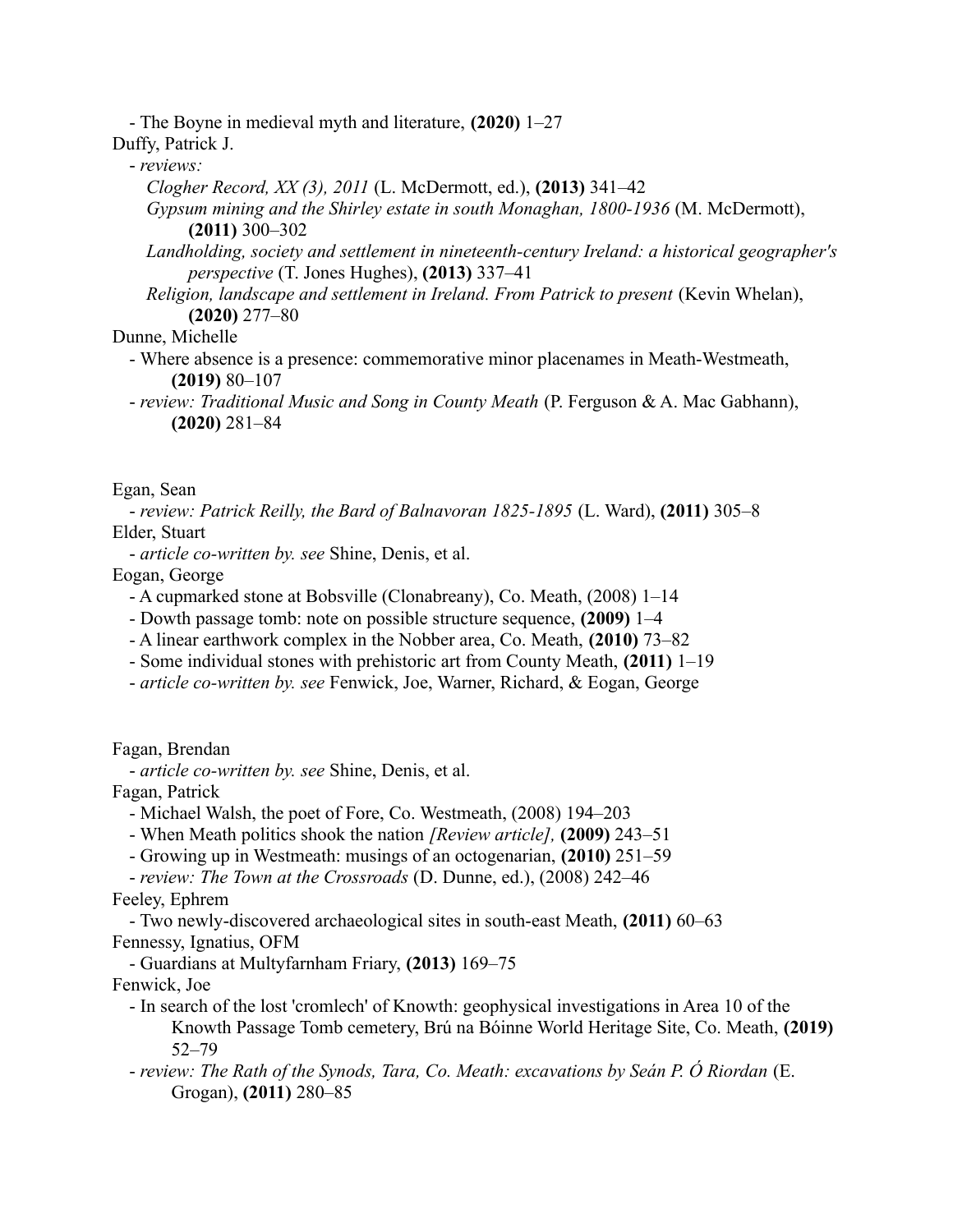- The Boyne in medieval myth and literature, **(2020)** 1–27 Duffy, Patrick J.

- *reviews:*
	- *Clogher Record, XX (3), 2011* (L. McDermott, ed.), **(2013)** 341–42
	- *Gypsum mining and the Shirley estate in south Monaghan, 1800-1936* (M. McDermott), **(2011)** 300–302
	- *Landholding, society and settlement in nineteenth-century Ireland: a historical geographer's perspective* (T. Jones Hughes), **(2013)** 337–41
	- *Religion, landscape and settlement in Ireland. From Patrick to present* (Kevin Whelan), **(2020)** 277–80

Dunne, Michelle

- Where absence is a presence: commemorative minor placenames in Meath-Westmeath, **(2019)** 80–107
- *review: Traditional Music and Song in County Meath* (P. Ferguson & A. Mac Gabhann), **(2020)** 281–84

Egan, Sean

- *review: Patrick Reilly, the Bard of Balnavoran 1825-1895* (L. Ward), **(2011)** 305–8 Elder, Stuart

- *article co-written by. see* Shine, Denis, et al.

Eogan, George

- A cupmarked stone at Bobsville (Clonabreany), Co. Meath, (2008) 1–14
- Dowth passage tomb: note on possible structure sequence, **(2009)** 1–4
- A linear earthwork complex in the Nobber area, Co. Meath, **(2010)** 73–82
- Some individual stones with prehistoric art from County Meath, **(2011)** 1–19
- *article co-written by. see* Fenwick, Joe, Warner, Richard, & Eogan, George

Fagan, Brendan

- *article co-written by. see* Shine, Denis, et al.

Fagan, Patrick

- Michael Walsh, the poet of Fore, Co. Westmeath, (2008) 194–203
- When Meath politics shook the nation *[Review article],* **(2009)** 243–51
- Growing up in Westmeath: musings of an octogenarian, **(2010)** 251–59

- *review: The Town at the Crossroads* (D. Dunne, ed.), (2008) 242–46 Feeley, Ephrem

- Two newly-discovered archaeological sites in south-east Meath, **(2011)** 60–63 Fennessy, Ignatius, OFM

- Guardians at Multyfarnham Friary, **(2013)** 169–75

Fenwick, Joe

- In search of the lost 'cromlech' of Knowth: geophysical investigations in Area 10 of the Knowth Passage Tomb cemetery, Brú na Bóinne World Heritage Site, Co. Meath, **(2019)** 52–79
- *review: The Rath of the Synods, Tara, Co. Meath: excavations by Seán P. Ó Riordan* (E. Grogan), **(2011)** 280–85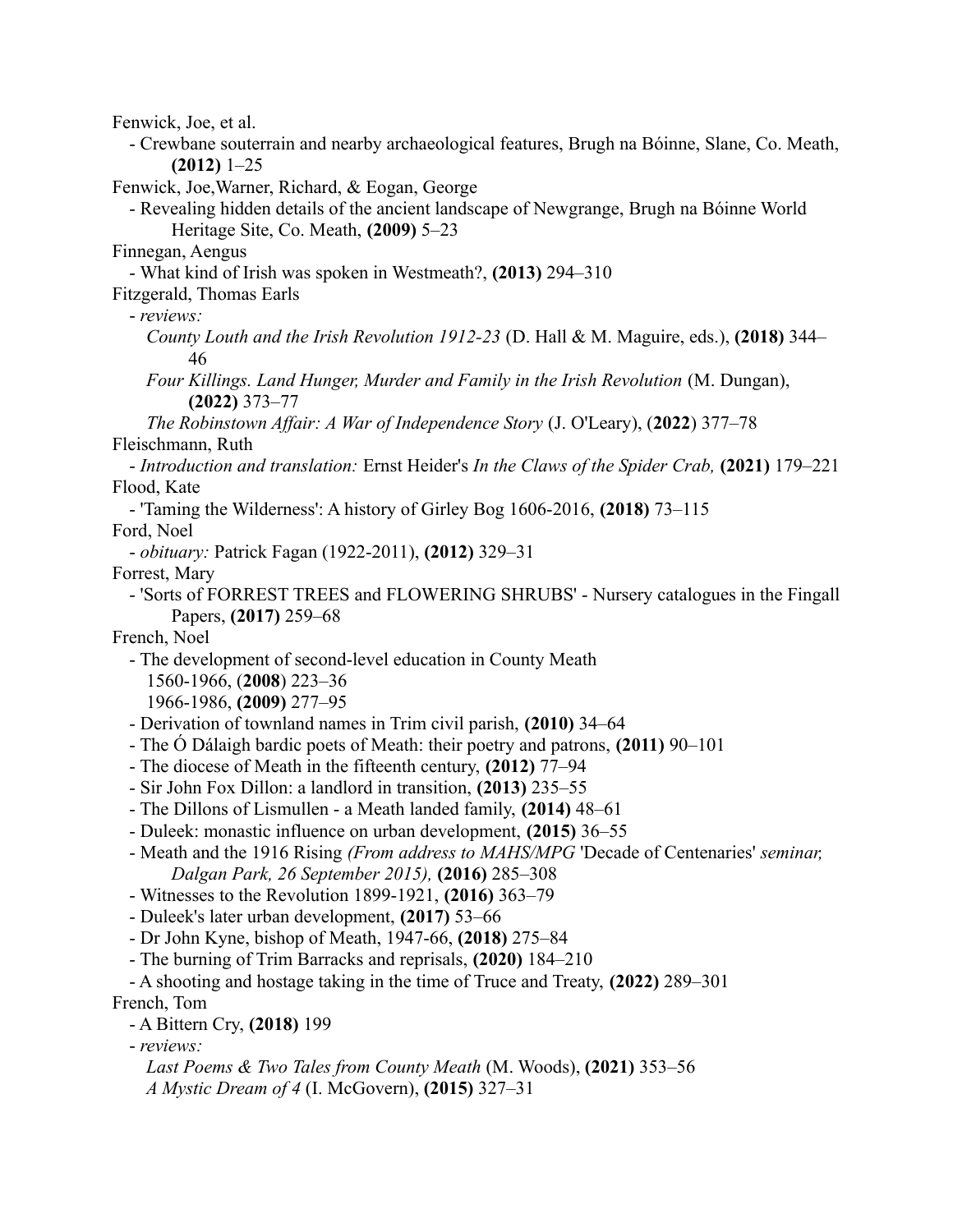Fenwick, Joe, et al. - Crewbane souterrain and nearby archaeological features, Brugh na Bóinne, Slane, Co. Meath, **(2012)** 1–25 Fenwick, Joe,Warner, Richard, & Eogan, George - Revealing hidden details of the ancient landscape of Newgrange, Brugh na Bóinne World Heritage Site, Co. Meath, **(2009)** 5–23 Finnegan, Aengus - What kind of Irish was spoken in Westmeath?, **(2013)** 294–310 Fitzgerald, Thomas Earls - *reviews: County Louth and the Irish Revolution 1912-23* (D. Hall & M. Maguire, eds.), **(2018)** 344– 46 *Four Killings. Land Hunger, Murder and Family in the Irish Revolution* (M. Dungan), **(2022)** 373–77 *The Robinstown Affair: A War of Independence Story* (J. O'Leary), (**2022**) 377–78 Fleischmann, Ruth - *Introduction and translation:* Ernst Heider's *In the Claws of the Spider Crab,* **(2021)** 179–221 Flood, Kate - 'Taming the Wilderness': A history of Girley Bog 1606-2016, **(2018)** 73–115 Ford, Noel - *obituary:* Patrick Fagan (1922-2011), **(2012)** 329–31 Forrest, Mary - 'Sorts of FORREST TREES and FLOWERING SHRUBS' - Nursery catalogues in the Fingall Papers, **(2017)** 259–68 French, Noel - The development of second-level education in County Meath 1560-1966, (**2008**) 223–36 1966-1986, **(2009)** 277–95 - Derivation of townland names in Trim civil parish, **(2010)** 34–64 - The Ó Dálaigh bardic poets of Meath: their poetry and patrons, **(2011)** 90–101 - The diocese of Meath in the fifteenth century, **(2012)** 77–94 - Sir John Fox Dillon: a landlord in transition, **(2013)** 235–55 - The Dillons of Lismullen - a Meath landed family, **(2014)** 48–61 - Duleek: monastic influence on urban development, **(2015)** 36–55 - Meath and the 1916 Rising *(From address to MAHS/MPG* 'Decade of Centenaries' *seminar, Dalgan Park, 26 September 2015),* **(2016)** 285–308 - Witnesses to the Revolution 1899-1921, **(2016)** 363–79 - Duleek's later urban development, **(2017)** 53–66 - Dr John Kyne, bishop of Meath, 1947-66, **(2018)** 275–84 - The burning of Trim Barracks and reprisals, **(2020)** 184–210 - A shooting and hostage taking in the time of Truce and Treaty, **(2022)** 289–301 French, Tom - A Bittern Cry, **(2018)** 199 - *reviews: Last Poems & Two Tales from County Meath* (M. Woods), **(2021)** 353–56 *A Mystic Dream of 4* (I. McGovern), **(2015)** 327–31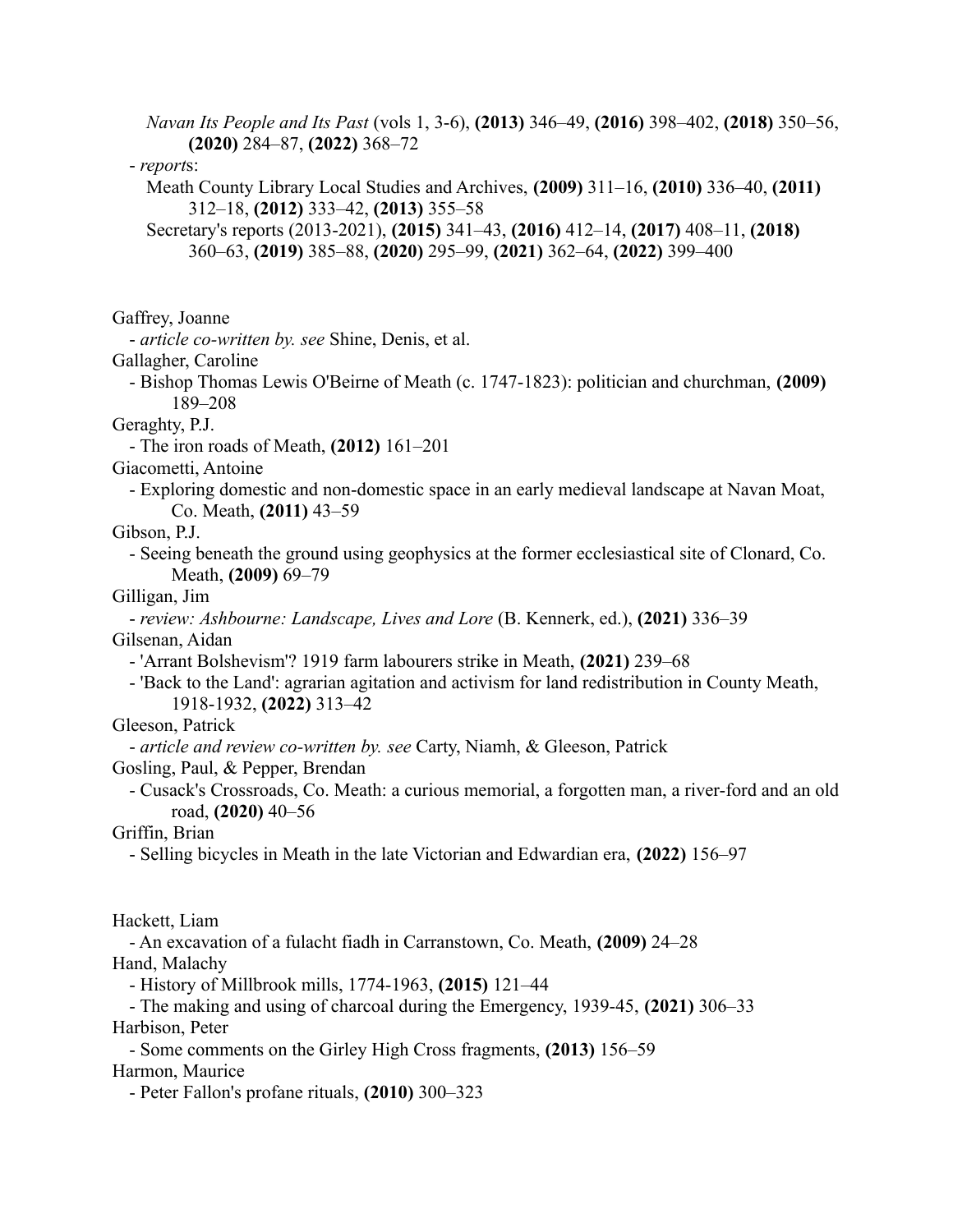*Navan Its People and Its Past* (vols 1, 3-6), **(2013)** 346–49, **(2016)** 398–402, **(2018)** 350–56, **(2020)** 284–87, **(2022)** 368–72

- *report*s:

Meath County Library Local Studies and Archives, **(2009)** 311–16, **(2010)** 336–40, **(2011)** 312–18, **(2012)** 333–42, **(2013)** 355–58

Secretary's reports (2013-2021), **(2015)** 341–43, **(2016)** 412–14, **(2017)** 408–11, **(2018)** 360–63, **(2019)** 385–88, **(2020)** 295–99, **(2021)** 362–64, **(2022)** 399–400

Gaffrey, Joanne

- *article co-written by. see* Shine, Denis, et al.

Gallagher, Caroline

- Bishop Thomas Lewis O'Beirne of Meath (c. 1747-1823): politician and churchman, **(2009)** 189–208

Geraghty, P.J.

- The iron roads of Meath, **(2012)** 161–201

Giacometti, Antoine

- Exploring domestic and non-domestic space in an early medieval landscape at Navan Moat, Co. Meath, **(2011)** 43–59

Gibson, P.J.

- Seeing beneath the ground using geophysics at the former ecclesiastical site of Clonard, Co. Meath, **(2009)** 69–79

Gilligan, Jim

- *review: Ashbourne: Landscape, Lives and Lore* (B. Kennerk, ed.), **(2021)** 336–39 Gilsenan, Aidan

- 'Arrant Bolshevism'? 1919 farm labourers strike in Meath, **(2021)** 239–68

- 'Back to the Land': agrarian agitation and activism for land redistribution in County Meath, 1918-1932, **(2022)** 313–42

Gleeson, Patrick

- *article and review co-written by. see* Carty, Niamh, & Gleeson, Patrick

Gosling, Paul, & Pepper, Brendan

- Cusack's Crossroads, Co. Meath: a curious memorial, a forgotten man, a river-ford and an old road, **(2020)** 40–56

Griffin, Brian

- Selling bicycles in Meath in the late Victorian and Edwardian era, **(2022)** 156–97

Hackett, Liam

- An excavation of a fulacht fiadh in Carranstown, Co. Meath, **(2009)** 24–28 Hand, Malachy

- History of Millbrook mills, 1774-1963, **(2015)** 121–44

- The making and using of charcoal during the Emergency, 1939-45, **(2021)** 306–33 Harbison, Peter

- Some comments on the Girley High Cross fragments, **(2013)** 156–59 Harmon, Maurice

- Peter Fallon's profane rituals, **(2010)** 300–323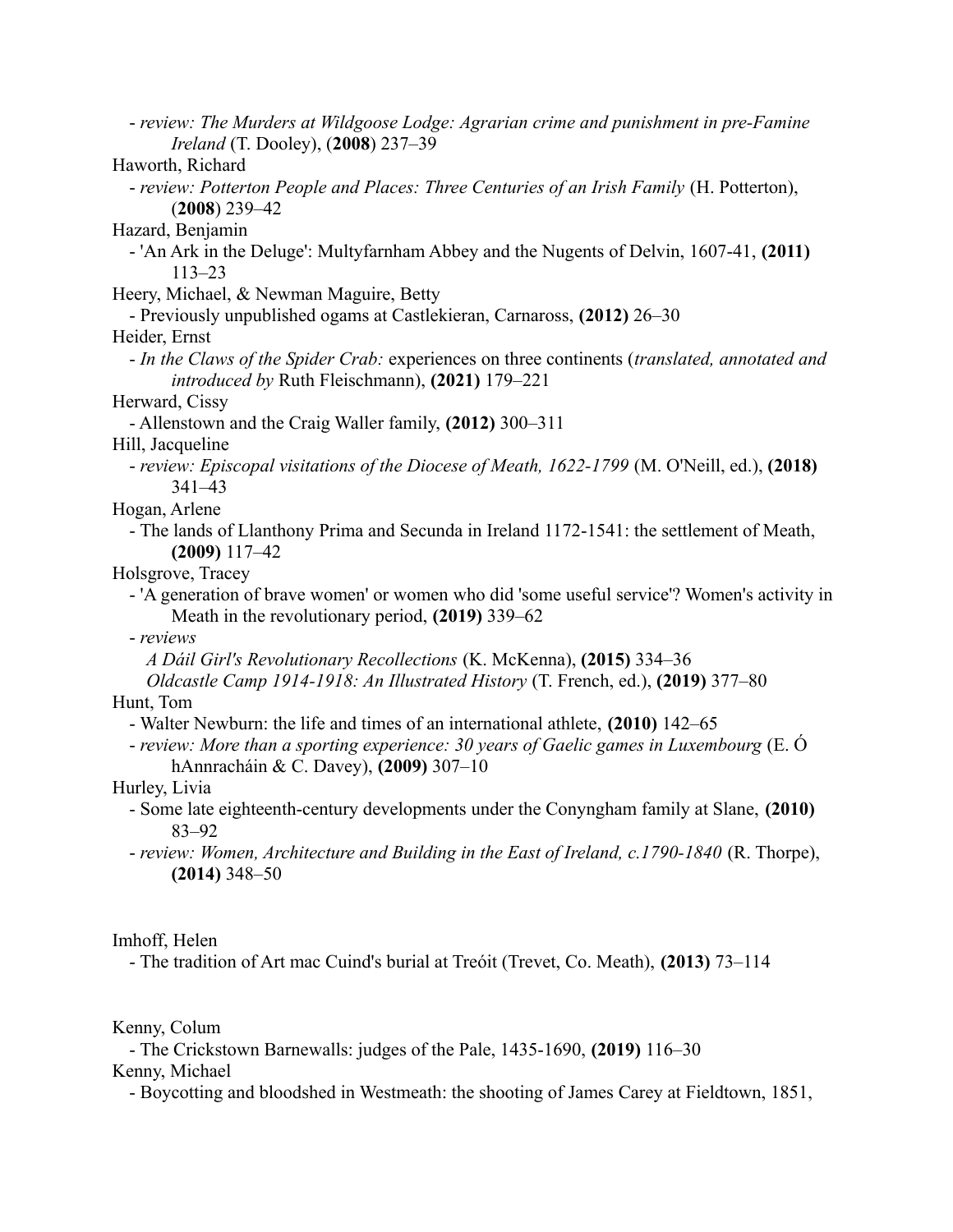- *review: The Murders at Wildgoose Lodge: Agrarian crime and punishment in pre-Famine Ireland* (T. Dooley), (**2008**) 237–39

Haworth, Richard

- *review: Potterton People and Places: Three Centuries of an Irish Family* (H. Potterton), (**2008**) 239–42

Hazard, Benjamin

- 'An Ark in the Deluge': Multyfarnham Abbey and the Nugents of Delvin, 1607-41, **(2011)** 113–23

Heery, Michael, & Newman Maguire, Betty

- Previously unpublished ogams at Castlekieran, Carnaross, **(2012)** 26–30

Heider, Ernst

- *In the Claws of the Spider Crab:* experiences on three continents (*translated, annotated and introduced by* Ruth Fleischmann), **(2021)** 179–221

Herward, Cissy

- Allenstown and the Craig Waller family, **(2012)** 300–311

Hill, Jacqueline

- *review: Episcopal visitations of the Diocese of Meath, 1622-1799* (M. O'Neill, ed.), **(2018)** 341–43

Hogan, Arlene

- The lands of Llanthony Prima and Secunda in Ireland 1172-1541: the settlement of Meath, **(2009)** 117–42

Holsgrove, Tracey

- 'A generation of brave women' or women who did 'some useful service'? Women's activity in Meath in the revolutionary period, **(2019)** 339–62

- *reviews*

*A Dáil Girl's Revolutionary Recollections* (K. McKenna), **(2015)** 334–36

*Oldcastle Camp 1914-1918: An Illustrated History* (T. French, ed.), **(2019)** 377–80

Hunt, Tom

- Walter Newburn: the life and times of an international athlete, **(2010)** 142–65

- *review: More than a sporting experience: 30 years of Gaelic games in Luxembourg* (E. Ó hAnnracháin & C. Davey), **(2009)** 307–10

Hurley, Livia

- Some late eighteenth-century developments under the Conyngham family at Slane, **(2010)** 83–92
- *review: Women, Architecture and Building in the East of Ireland, c.1790-1840* (R. Thorpe), **(2014)** 348–50

Imhoff, Helen

- The tradition of Art mac Cuind's burial at Treóit (Trevet, Co. Meath), **(2013)** 73–114

Kenny, Colum

- The Crickstown Barnewalls: judges of the Pale, 1435-1690, **(2019)** 116–30

Kenny, Michael

- Boycotting and bloodshed in Westmeath: the shooting of James Carey at Fieldtown, 1851,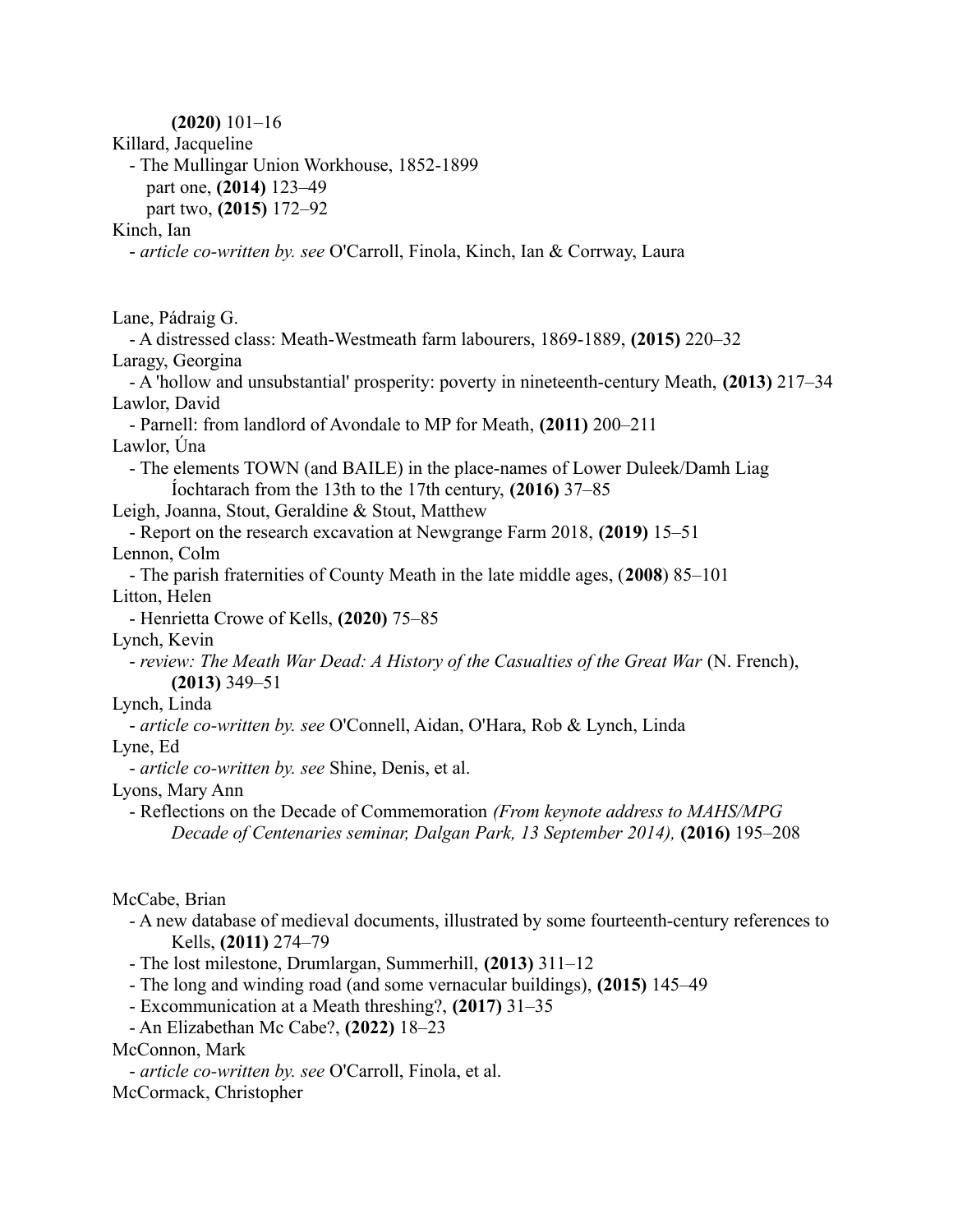**(2020)** 101–16 Killard, Jacqueline - The Mullingar Union Workhouse, 1852-1899 part one, **(2014)** 123–49 part two, **(2015)** 172–92 Kinch, Ian - *article co-written by. see* O'Carroll, Finola, Kinch, Ian & Corrway, Laura Lane, Pádraig G. - A distressed class: Meath-Westmeath farm labourers, 1869-1889, **(2015)** 220–32 Laragy, Georgina - A 'hollow and unsubstantial' prosperity: poverty in nineteenth-century Meath, **(2013)** 217–34 Lawlor, David - Parnell: from landlord of Avondale to MP for Meath, **(2011)** 200–211 Lawlor, Úna - The elements TOWN (and BAILE) in the place-names of Lower Duleek/Damh Liag Íochtarach from the 13th to the 17th century, **(2016)** 37–85 Leigh, Joanna, Stout, Geraldine & Stout, Matthew - Report on the research excavation at Newgrange Farm 2018, **(2019)** 15–51 Lennon, Colm - The parish fraternities of County Meath in the late middle ages, (**2008**) 85–101 Litton, Helen - Henrietta Crowe of Kells, **(2020)** 75–85 Lynch, Kevin - *review: The Meath War Dead: A History of the Casualties of the Great War* (N. French), **(2013)** 349–51 Lynch, Linda - *article co-written by. see* O'Connell, Aidan, O'Hara, Rob & Lynch, Linda Lyne, Ed - *article co-written by. see* Shine, Denis, et al. Lyons, Mary Ann - Reflections on the Decade of Commemoration *(From keynote address to MAHS/MPG Decade of Centenaries seminar, Dalgan Park, 13 September 2014),* **(2016)** 195–208

McCabe, Brian

- A new database of medieval documents, illustrated by some fourteenth-century references to Kells, **(2011)** 274–79
- The lost milestone, Drumlargan, Summerhill, **(2013)** 311–12
- The long and winding road (and some vernacular buildings), **(2015)** 145–49
- Excommunication at a Meath threshing?, **(2017)** 31–35
- An Elizabethan Mc Cabe?, **(2022)** 18–23

### McConnon, Mark

- *article co-written by. see* O'Carroll, Finola, et al. McCormack, Christopher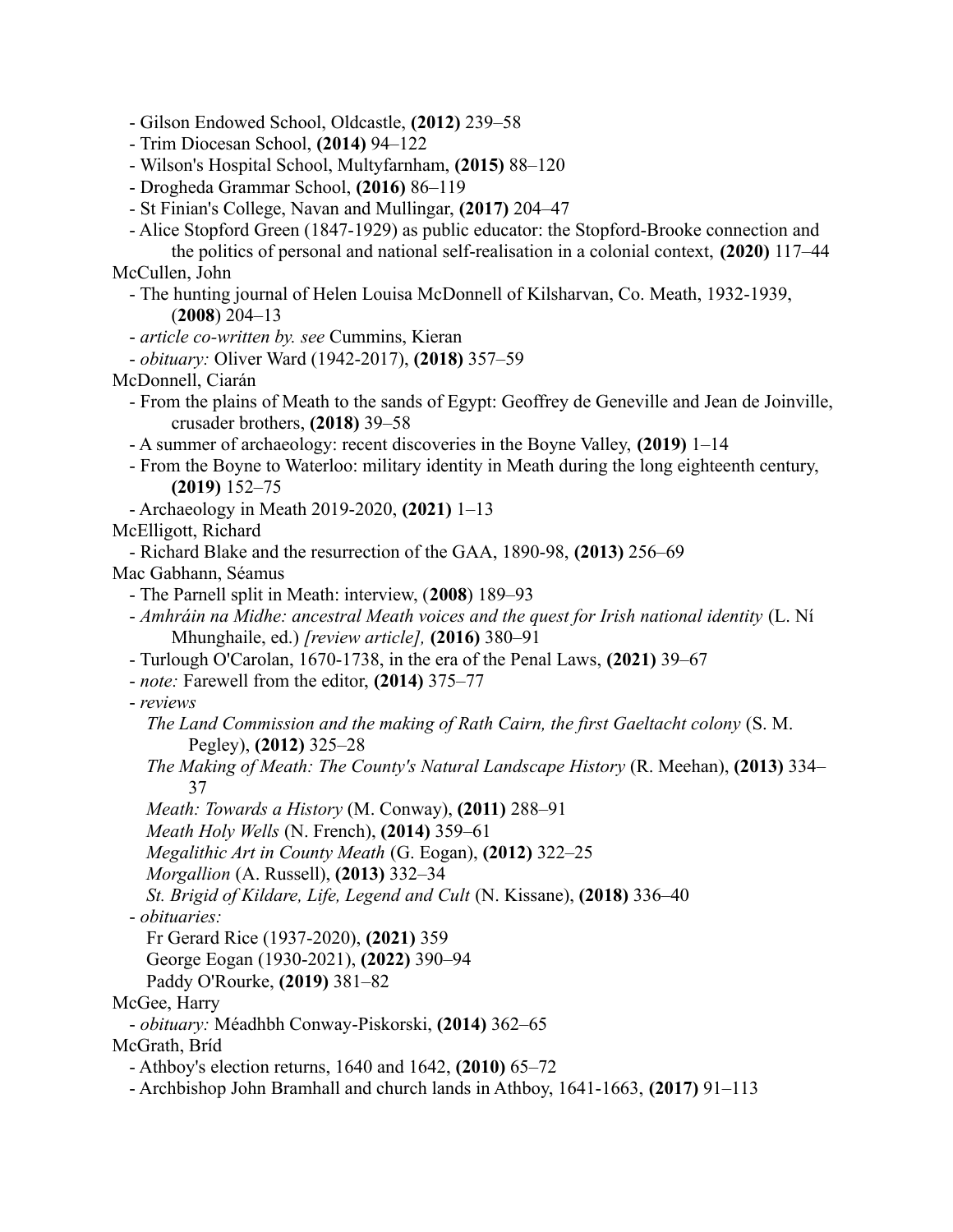- Gilson Endowed School, Oldcastle, **(2012)** 239–58

- Trim Diocesan School, **(2014)** 94–122
- Wilson's Hospital School, Multyfarnham, **(2015)** 88–120
- Drogheda Grammar School, **(2016)** 86–119
- St Finian's College, Navan and Mullingar, **(2017)** 204–47
- Alice Stopford Green (1847-1929) as public educator: the Stopford-Brooke connection and

the politics of personal and national self-realisation in a colonial context, **(2020)** 117–44 McCullen, John

- The hunting journal of Helen Louisa McDonnell of Kilsharvan, Co. Meath, 1932-1939, (**2008**) 204–13

- *article co-written by. see* Cummins, Kieran
- *obituary:* Oliver Ward (1942-2017), **(2018)** 357–59
- McDonnell, Ciarán
	- From the plains of Meath to the sands of Egypt: Geoffrey de Geneville and Jean de Joinville, crusader brothers, **(2018)** 39–58
	- A summer of archaeology: recent discoveries in the Boyne Valley, **(2019)** 1–14
	- From the Boyne to Waterloo: military identity in Meath during the long eighteenth century, **(2019)** 152–75
- Archaeology in Meath 2019-2020, **(2021)** 1–13
- McElligott, Richard

- Richard Blake and the resurrection of the GAA, 1890-98, **(2013)** 256–69

Mac Gabhann, Séamus

- The Parnell split in Meath: interview, (**2008**) 189–93
- *Amhráin na Midhe: ancestral Meath voices and the quest for Irish national identity* (L. Ní Mhunghaile, ed.) *[review article],* **(2016)** 380–91
- Turlough O'Carolan, 1670-1738, in the era of the Penal Laws, **(2021)** 39–67
- *note:* Farewell from the editor, **(2014)** 375–77
- *reviews*

*The Land Commission and the making of Rath Cairn, the first Gaeltacht colony* (S. M. Pegley), **(2012)** 325–28

- *The Making of Meath: The County's Natural Landscape History* (R. Meehan), **(2013)** 334– 37
- *Meath: Towards a History* (M. Conway), **(2011)** 288–91
- *Meath Holy Wells* (N. French), **(2014)** 359–61

*Megalithic Art in County Meath* (G. Eogan), **(2012)** 322–25

*Morgallion* (A. Russell), **(2013)** 332–34

*St. Brigid of Kildare, Life, Legend and Cult* (N. Kissane), **(2018)** 336–40

- *obituaries:*

Fr Gerard Rice (1937-2020), **(2021)** 359

George Eogan (1930-2021), **(2022)** 390–94

Paddy O'Rourke, **(2019)** 381–82

McGee, Harry

- *obituary:* Méadhbh Conway-Piskorski, **(2014)** 362–65

McGrath, Bríd

- Athboy's election returns, 1640 and 1642, **(2010)** 65–72

- Archbishop John Bramhall and church lands in Athboy, 1641-1663, **(2017)** 91–113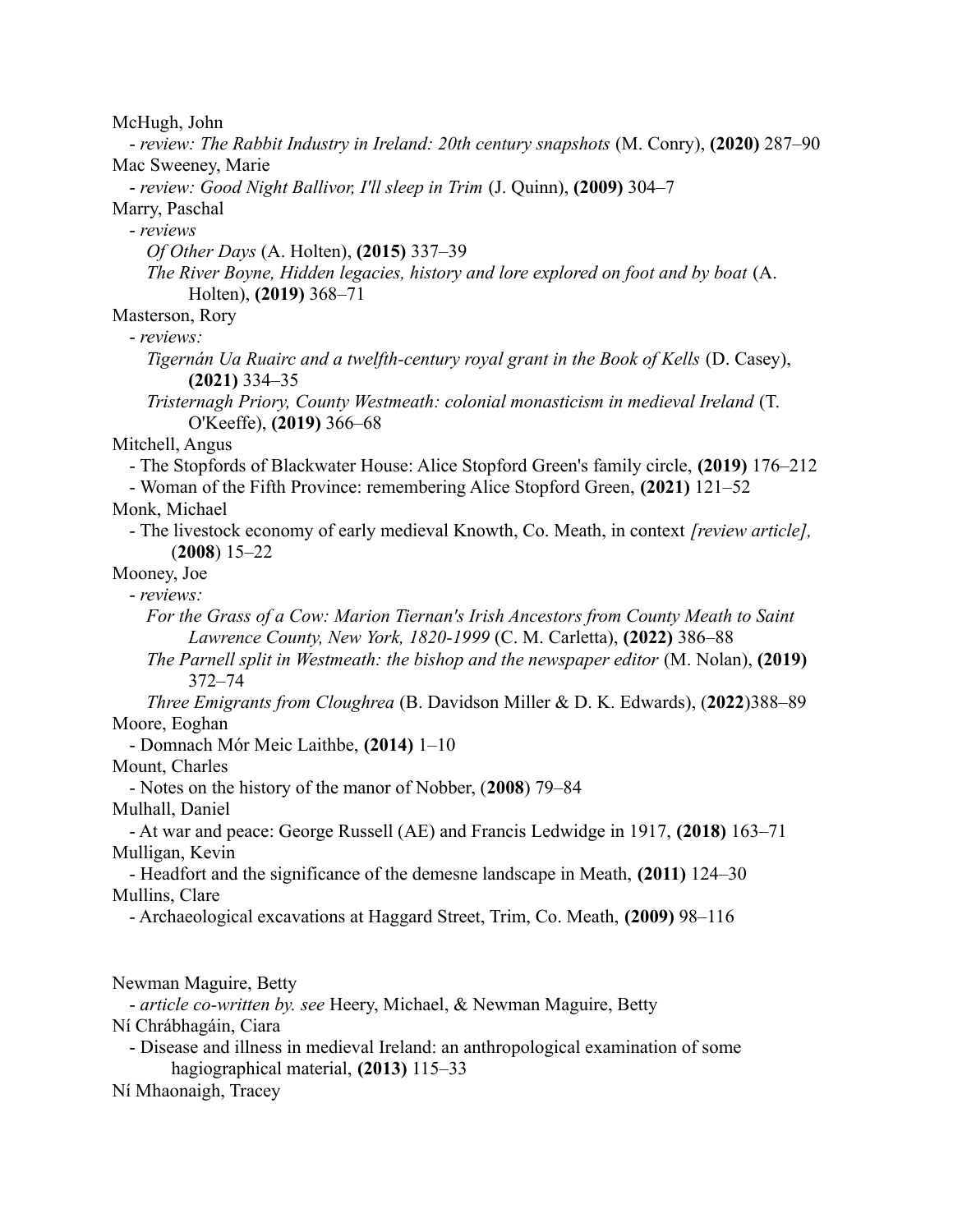McHugh, John

- *review: The Rabbit Industry in Ireland: 20th century snapshots* (M. Conry), **(2020)** 287–90 Mac Sweeney, Marie

- *review: Good Night Ballivor, I'll sleep in Trim* (J. Quinn), **(2009)** 304–7

Marry, Paschal

- *reviews*

*Of Other Days* (A. Holten), **(2015)** 337–39

*The River Boyne, Hidden legacies, history and lore explored on foot and by boat* (A. Holten), **(2019)** 368–71

Masterson, Rory

- *reviews:*

*Tigernán Ua Ruairc and a twelfth-century royal grant in the Book of Kells* (D. Casey), **(2021)** 334–35

*Tristernagh Priory, County Westmeath: colonial monasticism in medieval Ireland* (T. O'Keeffe), **(2019)** 366–68

Mitchell, Angus

- The Stopfords of Blackwater House: Alice Stopford Green's family circle, **(2019)** 176–212

- Woman of the Fifth Province: remembering Alice Stopford Green, **(2021)** 121–52

Monk, Michael

- The livestock economy of early medieval Knowth, Co. Meath, in context *[review article],* (**2008**) 15–22

Mooney, Joe

- *reviews:*

*For the Grass of a Cow: Marion Tiernan's Irish Ancestors from County Meath to Saint Lawrence County, New York, 1820-1999* (C. M. Carletta), **(2022)** 386–88

*The Parnell split in Westmeath: the bishop and the newspaper editor* (M. Nolan), **(2019)** 372–74

*Three Emigrants from Cloughrea* (B. Davidson Miller & D. K. Edwards), (**2022**)388–89 Moore, Eoghan

- Domnach Mór Meic Laithbe, **(2014)** 1–10

Mount, Charles

- Notes on the history of the manor of Nobber, (**2008**) 79–84

Mulhall, Daniel

- At war and peace: George Russell (AE) and Francis Ledwidge in 1917, **(2018)** 163–71 Mulligan, Kevin

- Headfort and the significance of the demesne landscape in Meath, **(2011)** 124–30 Mullins, Clare

- Archaeological excavations at Haggard Street, Trim, Co. Meath, **(2009)** 98–116

Newman Maguire, Betty

- *article co-written by. see* Heery, Michael, & Newman Maguire, Betty Ní Chrábhagáin, Ciara

- Disease and illness in medieval Ireland: an anthropological examination of some hagiographical material, **(2013)** 115–33

Ní Mhaonaigh, Tracey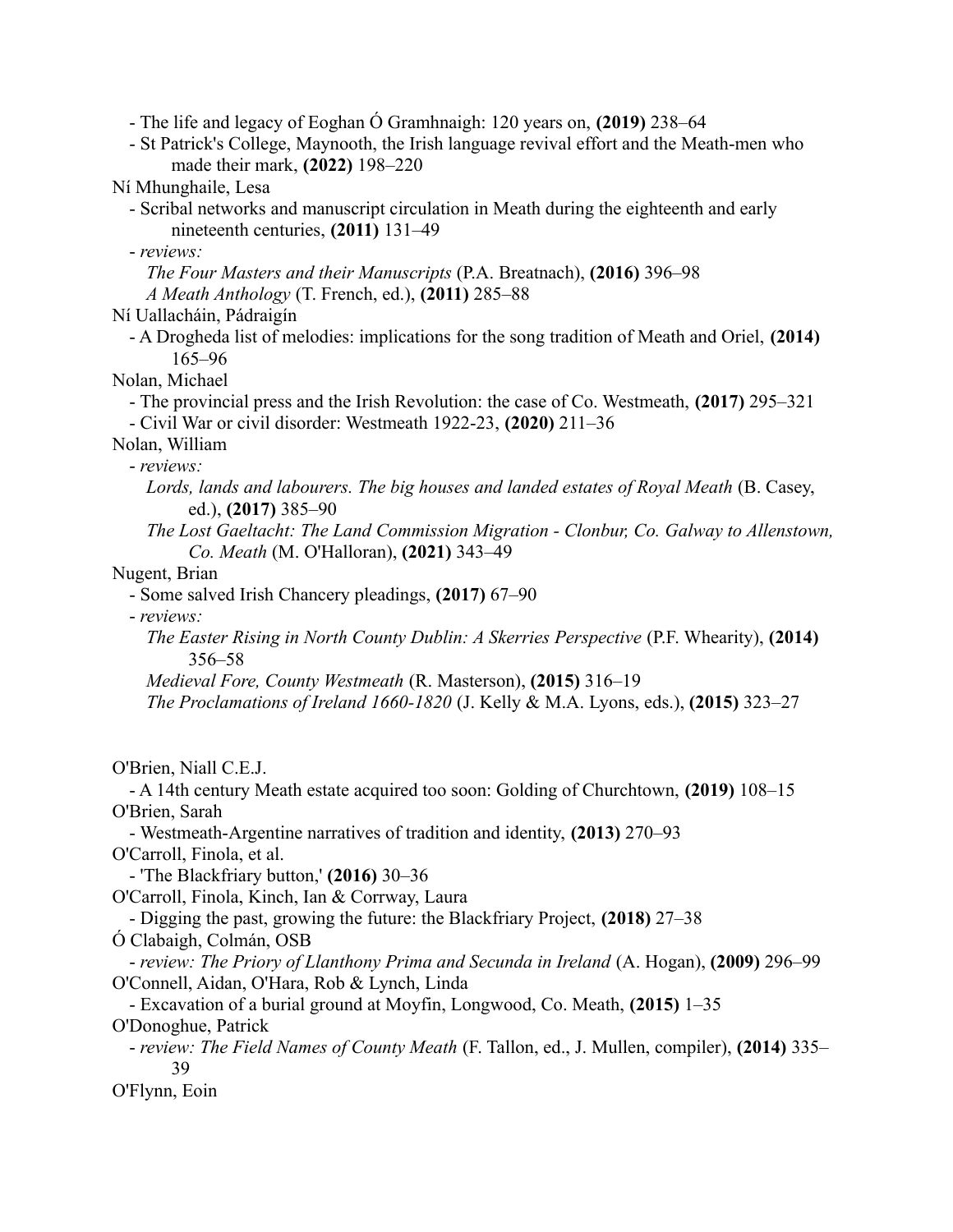- The life and legacy of Eoghan Ó Gramhnaigh: 120 years on, **(2019)** 238–64

- St Patrick's College, Maynooth, the Irish language revival effort and the Meath-men who made their mark, **(2022)** 198–220

Ní Mhunghaile, Lesa

- Scribal networks and manuscript circulation in Meath during the eighteenth and early nineteenth centuries, **(2011)** 131–49

- *reviews:*

*The Four Masters and their Manuscripts* (P.A. Breatnach), **(2016)** 396–98 *A Meath Anthology* (T. French, ed.), **(2011)** 285–88

Ní Uallacháin, Pádraigín

- A Drogheda list of melodies: implications for the song tradition of Meath and Oriel, **(2014)** 165–96

Nolan, Michael

- The provincial press and the Irish Revolution: the case of Co. Westmeath, **(2017)** 295–321

- Civil War or civil disorder: Westmeath 1922-23, **(2020)** 211–36

Nolan, William

- *reviews:*

*Lords, lands and labourers. The big houses and landed estates of Royal Meath* (B. Casey, ed.), **(2017)** 385–90

*The Lost Gaeltacht: The Land Commission Migration - Clonbur, Co. Galway to Allenstown, Co. Meath* (M. O'Halloran), **(2021)** 343–49

Nugent, Brian

- Some salved Irish Chancery pleadings, **(2017)** 67–90

- *reviews:*

*The Easter Rising in North County Dublin: A Skerries Perspective* (P.F. Whearity), **(2014)** 356–58

*Medieval Fore, County Westmeath* (R. Masterson), **(2015)** 316–19

*The Proclamations of Ireland 1660-1820* (J. Kelly & M.A. Lyons, eds.), **(2015)** 323–27

O'Brien, Niall C.E.J.

- A 14th century Meath estate acquired too soon: Golding of Churchtown, **(2019)** 108–15 O'Brien, Sarah

- Westmeath-Argentine narratives of tradition and identity, **(2013)** 270–93 O'Carroll, Finola, et al.

- 'The Blackfriary button,' **(2016)** 30–36

O'Carroll, Finola, Kinch, Ian & Corrway, Laura

- Digging the past, growing the future: the Blackfriary Project, **(2018)** 27–38

Ó Clabaigh, Colmán, OSB

- *review: The Priory of Llanthony Prima and Secunda in Ireland* (A. Hogan), **(2009)** 296–99 O'Connell, Aidan, O'Hara, Rob & Lynch, Linda

- Excavation of a burial ground at Moyfin, Longwood, Co. Meath, **(2015)** 1–35 O'Donoghue, Patrick

- *review: The Field Names of County Meath* (F. Tallon, ed., J. Mullen, compiler), **(2014)** 335– 39

O'Flynn, Eoin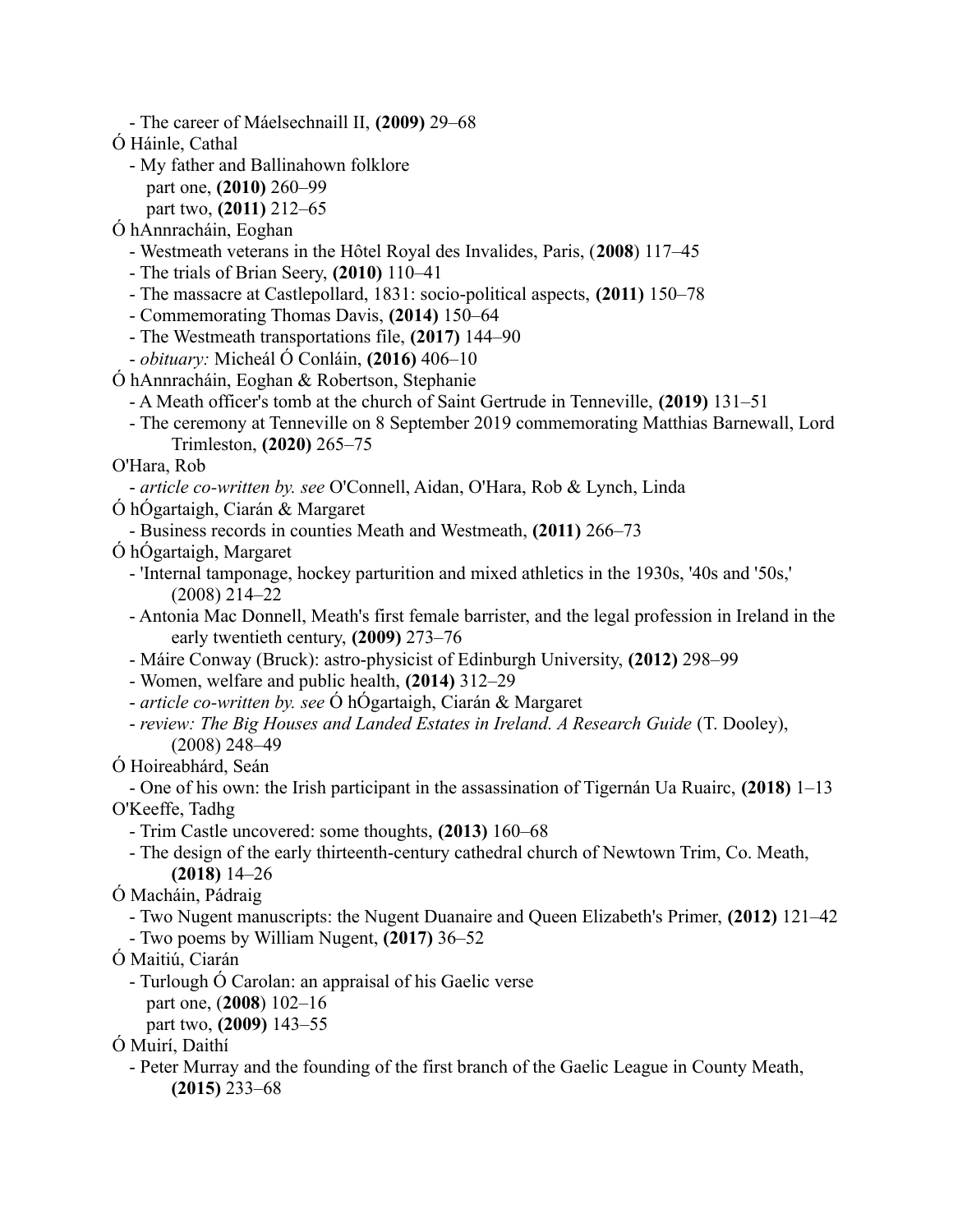- The career of Máelsechnaill II, **(2009)** 29–68
- Ó Háinle, Cathal
	- My father and Ballinahown folklore
		- part one, **(2010)** 260–99
		- part two, **(2011)** 212–65
- Ó hAnnracháin, Eoghan
	- Westmeath veterans in the Hôtel Royal des Invalides, Paris, (**2008**) 117–45
	- The trials of Brian Seery, **(2010)** 110–41
	- The massacre at Castlepollard, 1831: socio-political aspects, **(2011)** 150–78
	- Commemorating Thomas Davis, **(2014)** 150–64
	- The Westmeath transportations file, **(2017)** 144–90
	- *obituary:* Micheál Ó Conláin, **(2016)** 406–10
- Ó hAnnracháin, Eoghan & Robertson, Stephanie
	- A Meath officer's tomb at the church of Saint Gertrude in Tenneville, **(2019)** 131–51
	- The ceremony at Tenneville on 8 September 2019 commemorating Matthias Barnewall, Lord Trimleston, **(2020)** 265–75
- O'Hara, Rob
- *article co-written by. see* O'Connell, Aidan, O'Hara, Rob & Lynch, Linda
- Ó hÓgartaigh, Ciarán & Margaret
- Business records in counties Meath and Westmeath, **(2011)** 266–73
- Ó hÓgartaigh, Margaret
	- 'Internal tamponage, hockey parturition and mixed athletics in the 1930s, '40s and '50s,' (2008) 214–22
	- Antonia Mac Donnell, Meath's first female barrister, and the legal profession in Ireland in the early twentieth century, **(2009)** 273–76
	- Máire Conway (Bruck): astro-physicist of Edinburgh University, **(2012)** 298–99
	- Women, welfare and public health, **(2014)** 312–29
	- *article co-written by. see* Ó hÓgartaigh, Ciarán & Margaret
	- *review: The Big Houses and Landed Estates in Ireland. A Research Guide* (T. Dooley), (2008) 248–49
- Ó Hoireabhárd, Seán

- One of his own: the Irish participant in the assassination of Tigernán Ua Ruairc, **(2018)** 1–13 O'Keeffe, Tadhg

- Trim Castle uncovered: some thoughts, **(2013)** 160–68
- The design of the early thirteenth-century cathedral church of Newtown Trim, Co. Meath, **(2018)** 14–26
- Ó Macháin, Pádraig
	- Two Nugent manuscripts: the Nugent Duanaire and Queen Elizabeth's Primer, **(2012)** 121–42
	- Two poems by William Nugent, **(2017)** 36–52
- Ó Maitiú, Ciarán
	- Turlough Ó Carolan: an appraisal of his Gaelic verse
		- part one, (**2008**) 102–16
	- part two, **(2009)** 143–55
- Ó Muirí, Daithí
	- Peter Murray and the founding of the first branch of the Gaelic League in County Meath, **(2015)** 233–68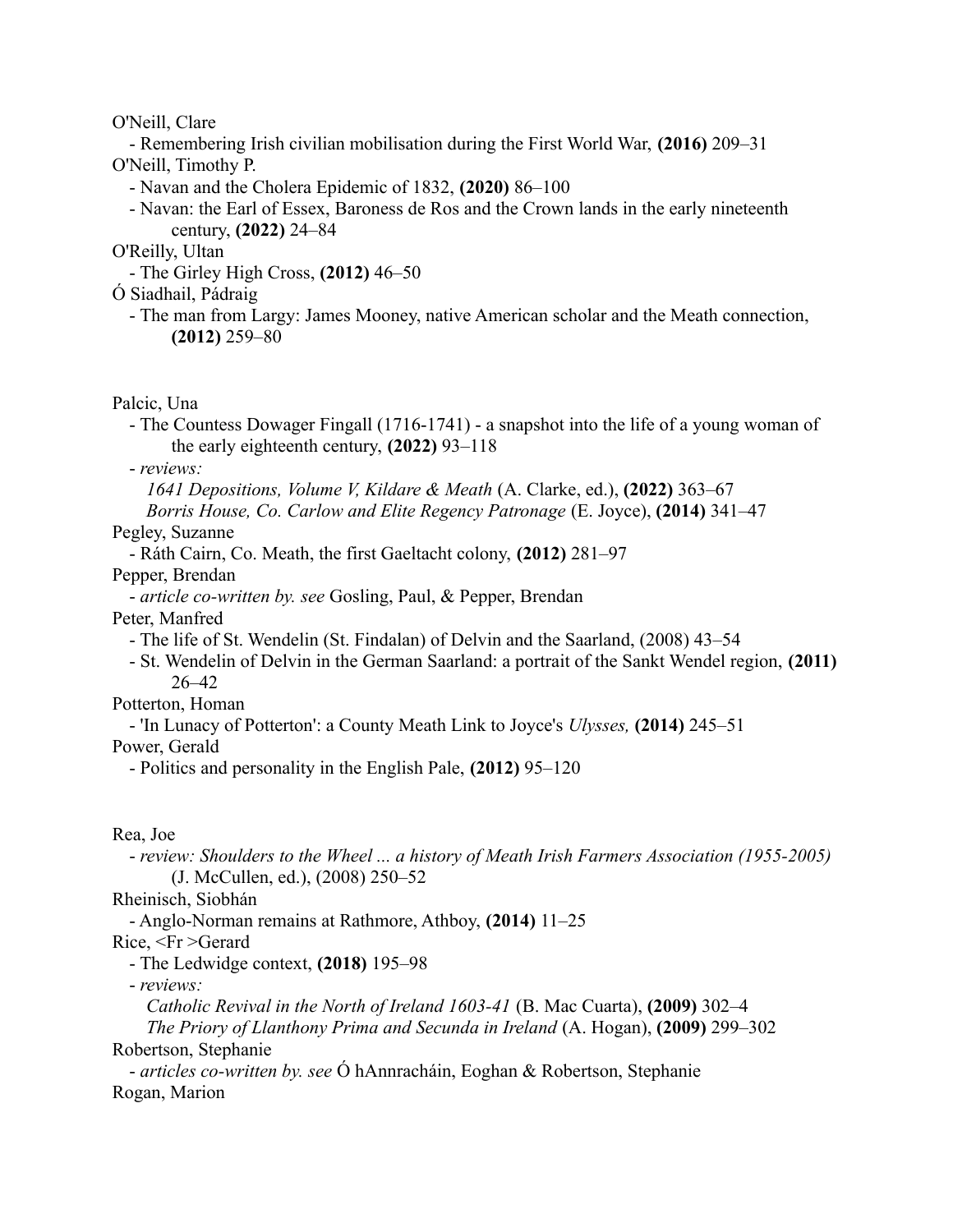O'Neill, Clare

- Remembering Irish civilian mobilisation during the First World War, **(2016)** 209–31 O'Neill, Timothy P.

- Navan and the Cholera Epidemic of 1832, **(2020)** 86–100
- Navan: the Earl of Essex, Baroness de Ros and the Crown lands in the early nineteenth century, **(2022)** 24–84

O'Reilly, Ultan

- The Girley High Cross, **(2012)** 46–50

Ó Siadhail, Pádraig

- The man from Largy: James Mooney, native American scholar and the Meath connection, **(2012)** 259–80

Palcic, Una

- The Countess Dowager Fingall (1716-1741) - a snapshot into the life of a young woman of the early eighteenth century, **(2022)** 93–118

- *reviews:*

*1641 Depositions, Volume V, Kildare & Meath* (A. Clarke, ed.), **(2022)** 363–67

*Borris House, Co. Carlow and Elite Regency Patronage* (E. Joyce), **(2014)** 341–47 Pegley, Suzanne

- Ráth Cairn, Co. Meath, the first Gaeltacht colony, **(2012)** 281–97

Pepper, Brendan

- *article co-written by. see* Gosling, Paul, & Pepper, Brendan

Peter, Manfred

- The life of St. Wendelin (St. Findalan) of Delvin and the Saarland, (2008) 43–54

- St. Wendelin of Delvin in the German Saarland: a portrait of the Sankt Wendel region, **(2011)** 26–42

Potterton, Homan

- 'In Lunacy of Potterton': a County Meath Link to Joyce's *Ulysses,* **(2014)** 245–51

Power, Gerald

- Politics and personality in the English Pale, **(2012)** 95–120

Rea, Joe

- *review: Shoulders to the Wheel ... a history of Meath Irish Farmers Association (1955-2005)* (J. McCullen, ed.), (2008) 250–52

Rheinisch, Siobhán

- Anglo-Norman remains at Rathmore, Athboy, **(2014)** 11–25

Rice, <Fr >Gerard

- The Ledwidge context, **(2018)** 195–98

- *reviews:*

*Catholic Revival in the North of Ireland 1603-41* (B. Mac Cuarta), **(2009)** 302–4

*The Priory of Llanthony Prima and Secunda in Ireland* (A. Hogan), **(2009)** 299–302 Robertson, Stephanie

- *articles co-written by. see* Ó hAnnracháin, Eoghan & Robertson, Stephanie Rogan, Marion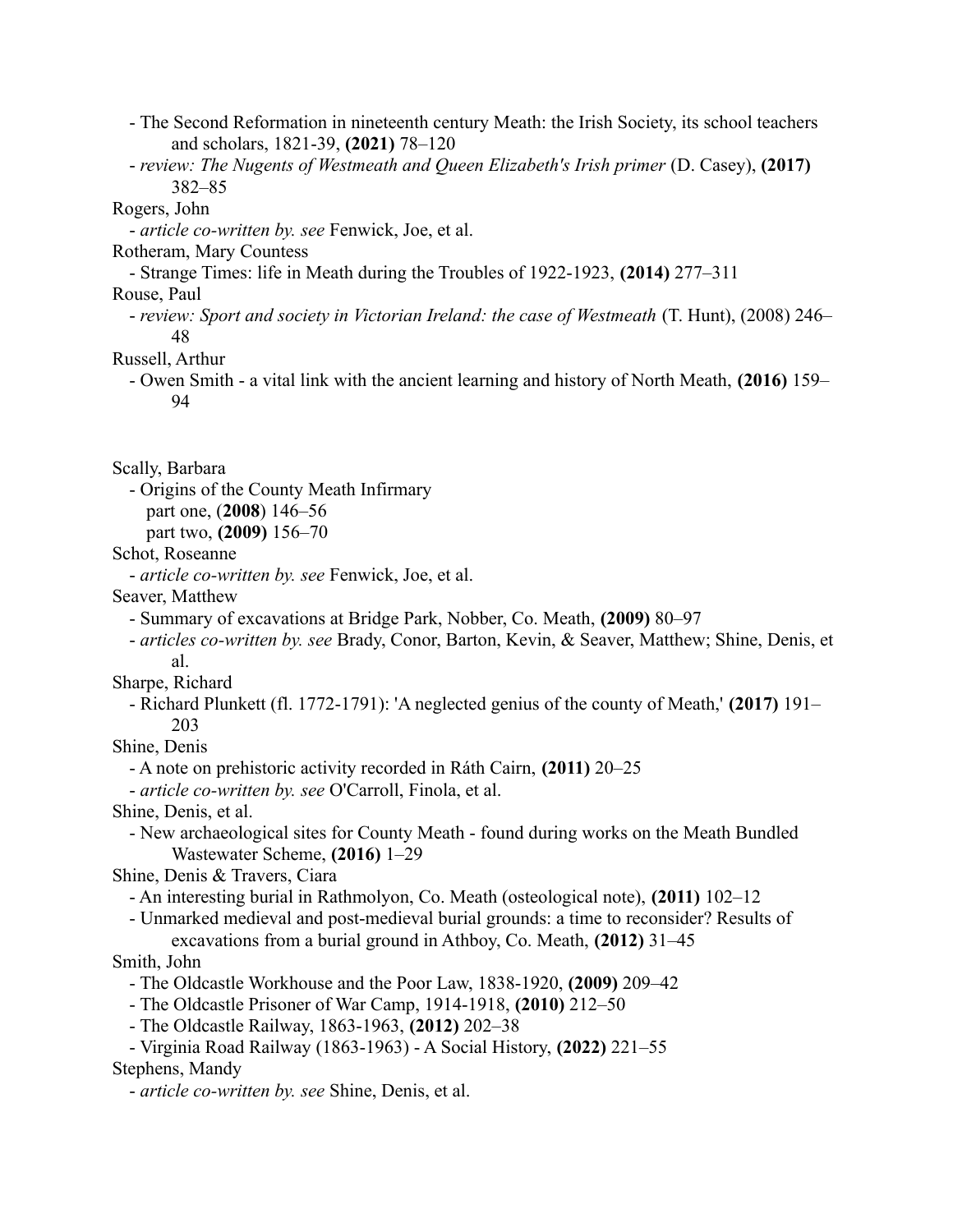- The Second Reformation in nineteenth century Meath: the Irish Society, its school teachers and scholars, 1821-39, **(2021)** 78–120
- *review: The Nugents of Westmeath and Queen Elizabeth's Irish primer* (D. Casey), **(2017)** 382–85

#### Rogers, John

- *article co-written by. see* Fenwick, Joe, et al.

Rotheram, Mary Countess

- Strange Times: life in Meath during the Troubles of 1922-1923, **(2014)** 277–311

Rouse, Paul

- *review: Sport and society in Victorian Ireland: the case of Westmeath* (T. Hunt), (2008) 246– 48

Russell, Arthur

- Owen Smith - a vital link with the ancient learning and history of North Meath, **(2016)** 159– 94

Scally, Barbara

- Origins of the County Meath Infirmary

part one, (**2008**) 146–56

part two, **(2009)** 156–70

Schot, Roseanne

- *article co-written by. see* Fenwick, Joe, et al.

Seaver, Matthew

- Summary of excavations at Bridge Park, Nobber, Co. Meath, **(2009)** 80–97

- *articles co-written by. see* Brady, Conor, Barton, Kevin, & Seaver, Matthew; Shine, Denis, et al.
- Sharpe, Richard

- Richard Plunkett (fl. 1772-1791): 'A neglected genius of the county of Meath,' **(2017)** 191– 203

Shine, Denis

- A note on prehistoric activity recorded in Ráth Cairn, **(2011)** 20–25

- *article co-written by. see* O'Carroll, Finola, et al.

Shine, Denis, et al.

- New archaeological sites for County Meath - found during works on the Meath Bundled Wastewater Scheme, **(2016)** 1–29

Shine, Denis & Travers, Ciara

- An interesting burial in Rathmolyon, Co. Meath (osteological note), **(2011)** 102–12

- Unmarked medieval and post-medieval burial grounds: a time to reconsider? Results of excavations from a burial ground in Athboy, Co. Meath, **(2012)** 31–45

## Smith, John

- The Oldcastle Workhouse and the Poor Law, 1838-1920, **(2009)** 209–42

- The Oldcastle Prisoner of War Camp, 1914-1918, **(2010)** 212–50

- The Oldcastle Railway, 1863-1963, **(2012)** 202–38

- Virginia Road Railway (1863-1963) - A Social History, **(2022)** 221–55

Stephens, Mandy

- *article co-written by. see* Shine, Denis, et al.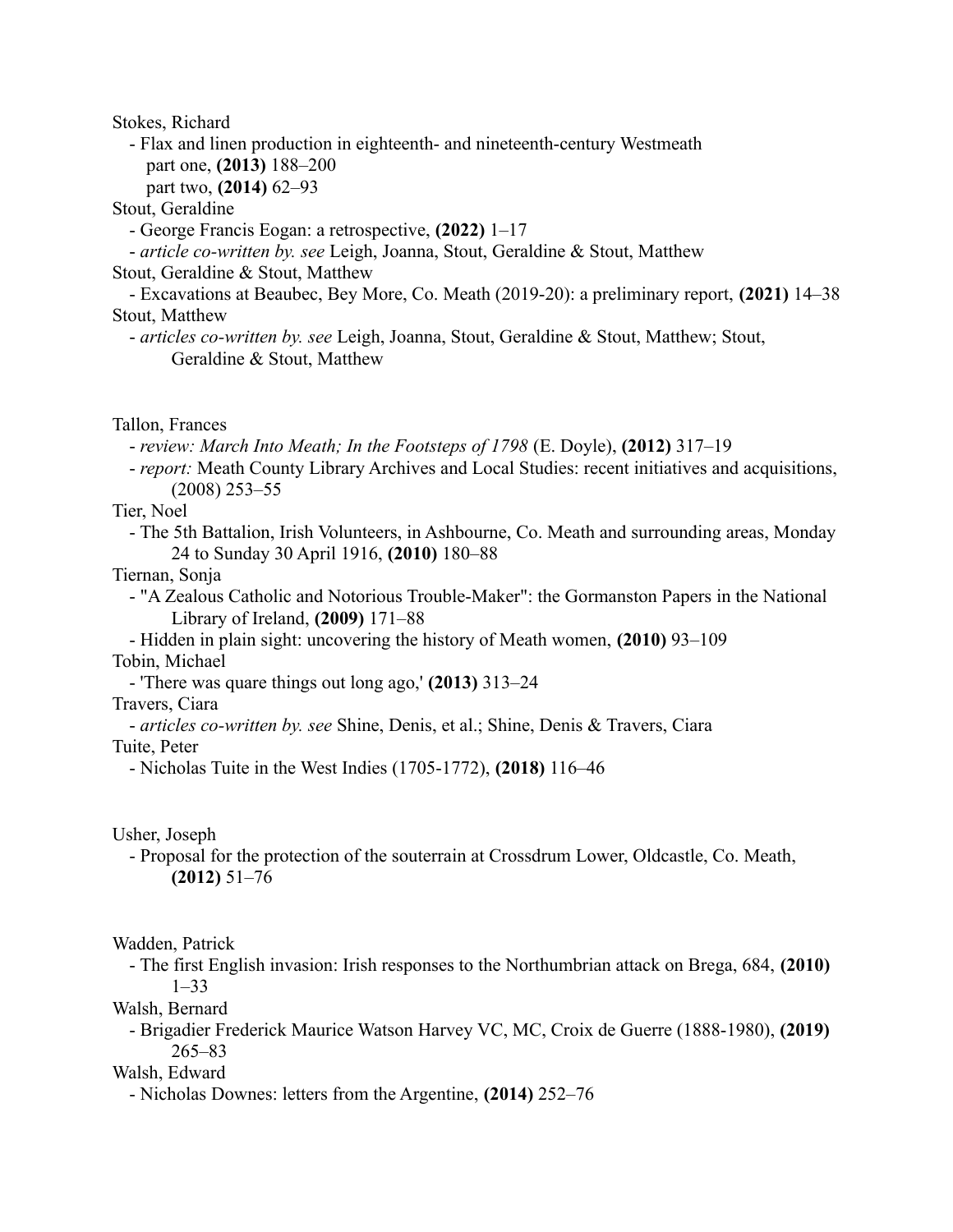Stokes, Richard

- Flax and linen production in eighteenth- and nineteenth-century Westmeath part one, **(2013)** 188–200

part two, **(2014)** 62–93

Stout, Geraldine

- George Francis Eogan: a retrospective, **(2022)** 1–17

- *article co-written by. see* Leigh, Joanna, Stout, Geraldine & Stout, Matthew

Stout, Geraldine & Stout, Matthew

- Excavations at Beaubec, Bey More, Co. Meath (2019-20): a preliminary report, **(2021)** 14–38 Stout, Matthew

- *articles co-written by. see* Leigh, Joanna, Stout, Geraldine & Stout, Matthew; Stout, Geraldine & Stout, Matthew

Tallon, Frances

- *review: March Into Meath; In the Footsteps of 1798* (E. Doyle), **(2012)** 317–19

- *report:* Meath County Library Archives and Local Studies: recent initiatives and acquisitions, (2008) 253–55

Tier, Noel

- The 5th Battalion, Irish Volunteers, in Ashbourne, Co. Meath and surrounding areas, Monday 24 to Sunday 30 April 1916, **(2010)** 180–88

Tiernan, Sonja

- "A Zealous Catholic and Notorious Trouble-Maker": the Gormanston Papers in the National Library of Ireland, **(2009)** 171–88

- Hidden in plain sight: uncovering the history of Meath women, **(2010)** 93–109 Tobin, Michael

- 'There was quare things out long ago,' **(2013)** 313–24

Travers, Ciara

- *articles co-written by. see* Shine, Denis, et al.; Shine, Denis & Travers, Ciara Tuite, Peter

- Nicholas Tuite in the West Indies (1705-1772), **(2018)** 116–46

Usher, Joseph

- Proposal for the protection of the souterrain at Crossdrum Lower, Oldcastle, Co. Meath, **(2012)** 51–76

#### Wadden, Patrick

- The first English invasion: Irish responses to the Northumbrian attack on Brega, 684, **(2010)**  $1 - 33$ 

Walsh, Bernard

- Brigadier Frederick Maurice Watson Harvey VC, MC, Croix de Guerre (1888-1980), **(2019)** 265–83

Walsh, Edward

- Nicholas Downes: letters from the Argentine, **(2014)** 252–76